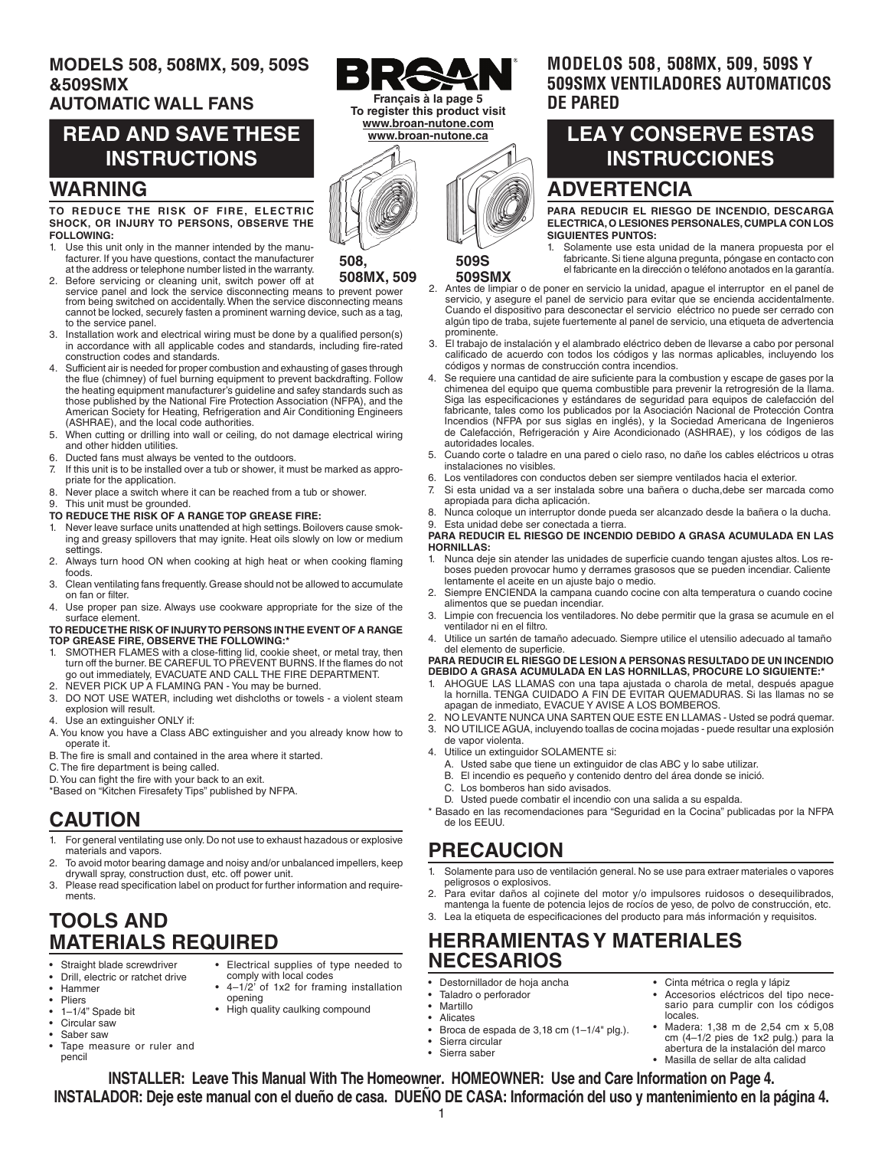### **MODELS 508, 508MX, 509, 509S &509SMX**

### **AUTOMATIC WALL FANS**

## **READ AND SAVE THESE INSTRUCTIONS**

### **WARNING**

#### **TO REDUCE THE RISK OF FIRE, ELECTRIC SHOCK, OR INJURY TO PERSONS, OBSERVE THE FOLLOWING:**

- 1. Use this unit only in the manner intended by the manufacturer. If you have questions, contact the manufacturer at the address or telephone number listed in the warranty.
- 2. Before servicing or cleaning unit, switch power off at service panel and lock the service disconnecting means to prevent power **508MX, 509** from being switched on accidentally. When the service disconnecting means cannot be locked, securely fasten a prominent warning device, such as a tag, to the service panel.
- 3. Installation work and electrical wiring must be done by a qualified person(s) in accordance with all applicable codes and standards, including fire-rated construction codes and standards.
- 4. Sufficient air is needed for proper combustion and exhausting of gases through the flue (chimney) of fuel burning equipment to prevent backdrafting. Follow the heating equipment manufacturer's guideline and safey standards such as those published by the National Fire Protection Association (NFPA), and the American Society for Heating, Refrigeration and Air Conditioning Engineers (ASHRAE), and the local code authorities.
- 5. When cutting or drilling into wall or ceiling, do not damage electrical wiring and other hidden utilities.
- 6. Ducted fans must always be vented to the outdoors.
- 7. If this unit is to be installed over a tub or shower, it must be marked as appropriate for the application.
- 8. Never place a switch where it can be reached from a tub or shower.
- This unit must be grounded.
- **TO REDUCE THE RISK OF A RANGE TOP GREASE FIRE:**
- 1. Never leave surface units unattended at high settings. Boilovers cause smoking and greasy spillovers that may ignite. Heat oils slowly on low or medium settings.
- 2. Always turn hood ON when cooking at high heat or when cooking flaming foods.
- 3. Clean ventilating fans frequently. Grease should not be allowed to accumulate on fan or filter.
- 4. Use proper pan size. Always use cookware appropriate for the size of the surface element.

### **TO REDUCE THE RISK OF INJURY TO PERSONS IN THE EVENT OF A RANGE TOP GREASE FIRE, OBSERVE THE FOLLOWING:\***

- SMOTHER FLAMES with a close-fitting lid, cookie sheet, or metal tray, then turn off the burner. BE CAREFUL TO PREVENT BURNS. If the flames do not go out immediately, EVACUATE AND CALL THE FIRE DEPARTMENT.
- 2. NEVER PICK UP A FLAMING PAN You may be burned.
- 3. DO NOT USE WATER, including wet dishcloths or towels a violent steam explosion will result.
- 4. Use an extinguisher ONLY if:
- A. You know you have a Class ABC extinguisher and you already know how to operate it.
- B. The fire is small and contained in the area where it started.
- C. The fire department is being called.

D. You can fight the fire with your back to an exit.

\*Based on "Kitchen Firesafety Tips" published by NFPA.

### **CAUTION**

- 1. For general ventilating use only. Do not use to exhaust hazadous or explosive materials and vapors.
- To avoid motor bearing damage and noisy and/or unbalanced impellers, keep drywall spray, construction dust, etc. off power unit.
- 3. Please read specification label on product for further information and requirements.

opening

• Electrical supplies of type needed to

• 4–1/2' of 1x2 for framing installation

comply with local codes

• High quality caulking compound

## **TOOLS AND MATERIALS REQUIRED**

- Straight blade screwdriver • Drill, electric or ratchet drive
- 
- Hammer
- **Pliers** • 1–1/4" Spade bit
- Circular saw
- Saber saw
- Tape measure or ruler and penci

**Français à la page 5 To register this product visit www.broan-nutone.com www.broan-nutone.ca**



**509S 509SMX**

**508,** 

### **MODELOS 508, 508MX, 509, 509S Y 509SMX VENTILADORES AUTOMATICOS DE PARED**

# **LEA Y CONSERVE ESTAS INSTRUCCIONES**

### **ADVERTENCIA**

**PARA REDUCIR EL RIESGO DE INCENDIO, DESCARGA ELECTRICA, O LESIONES PERSONALES, CUMPLA CON LOS SIGUIENTES PUNTOS:**

- 1. Solamente use esta unidad de la manera propuesta por el fabricante. Si tiene alguna pregunta, póngase en contacto con el fabricante en la dirección o teléfono anotados en la garantía.
- 2. Antes de limpiar o de poner en servicio la unidad, apague el interruptor en el panel de servicio, y asegure el panel de servicio para evitar que se encienda accidentalmente. Cuando el dispositivo para desconectar el servicio eléctrico no puede ser cerrado con algún tipo de traba, sujete fuertemente al panel de servicio, una etiqueta de advertencia prominente.
- 3. El trabajo de instalación y el alambrado eléctrico deben de llevarse a cabo por personal calificado de acuerdo con todos los códigos y las normas aplicables, incluyendo los códigos y normas de construcción contra incendios.
- Se requiere una cantidad de aire suficiente para la combustion y escape de gases por la chimenea del equipo que quema combustible para prevenir la retrogresión de la llama. Siga las especificaciones y estándares de seguridad para equipos de calefacción del fabricante, tales como los publicados por la Asociación Nacional de Protección Contra Incendios (NFPA por sus siglas en inglés), y la Sociedad Americana de Ingenieros de Calefacción, Refrigeración y Aire Acondicionado (ASHRAE), y los códigos de las autoridades locales.
- 5. Cuando corte o taladre en una pared o cielo raso, no dañe los cables eléctricos u otras instalaciones no visibles.
- 6. Los ventiladores con conductos deben ser siempre ventilados hacia el exterior.
- 7. Si esta unidad va a ser instalada sobre una bañera o ducha,debe ser marcada como apropiada para dicha aplicación.
- 8. Nunca coloque un interruptor donde pueda ser alcanzado desde la bañera o la ducha.<br>9. Esta unidad debe ser conectada a tierra. Esta unidad debe ser conectada a tierra.

#### **PARA REDUCIR EL RIESGO DE INCENDIO DEBIDO A GRASA ACUMULADA EN LAS HORNILLAS:**

- 1. Nunca deje sin atender las unidades de superficie cuando tengan ajustes altos. Los reboses pueden provocar humo y derrames grasosos que se pueden incendiar. Caliente lentamente el aceite en un ajuste bajo o medio.
- 2. Siempre ENCIENDA la campana cuando cocine con alta temperatura o cuando cocine alimentos que se puedan incendiar.
- 3. Limpie con frecuencia los ventiladores. No debe permitir que la grasa se acumule en el ventilador ni en el filtro.
- 4. Utilice un sartén de tamaño adecuado. Siempre utilice el utensilio adecuado al tamaño del elemento de superficie.

#### **PARA REDUCIR EL RIESGO DE LESION A PERSONAS RESULTADO DE UN INCENDIO DEBIDO A GRASA ACUMULADA EN LAS HORNILLAS, PROCURE LO SIGUIENTE:\***

- 1. AHOGUE LAS LLAMAS con una tapa ajustada o charola de metal, después apague la hornilla. TENGA CUIDADO A FIN DE EVITAR QUEMADURAS. Si las llamas no se apagan de inmediato, EVACUE Y AVISE A LOS BOMBEROS.
- 2. NO LEVANTE NUNCA UNA SARTEN QUE ESTE EN LLAMAS Usted se podrá quemar.
- 3. NO UTILICE AGUA, incluyendo toallas de cocina mojadas puede resultar una explosión de vapor violenta.
- 4. Utilice un extinguidor SOLAMENTE si:
	-
	- A. Usted sabe que tiene un extinguidor de clas ABC y lo sabe utilizar. B. El incendio es pequeño y contenido dentro del área donde se inició.<br>C. Los bomberos han sido avisados
	- Los bomberos han sido avisados.
	- D. Usted puede combatir el incendio con una salida a su espalda.
- Basado en las recomendaciones para "Seguridad en la Cocina" publicadas por la NFPA de los EEUU.

# **PRECAUCION**

- 1. Solamente para uso de ventilación general. No se use para extraer materiales o vapores peligrosos o explosivos.
- 2. Para evitar daños al cojinete del motor y/o impulsores ruidosos o desequilibrados, mantenga la fuente de potencia lejos de rocíos de yeso, de polvo de construcción, etc.
- 3. Lea la etiqueta de especificaciones del producto para más información y requisitos.

### **HERRAMIENTAS Y MATERIALES NECESARIOS**

- Destornillador de hoja ancha
- Taladro o perforador
- **Martillo Alicates**
- Broca de espada de 3,18 cm (1–1/4" plg.).
- Sierra circular
- Sierra saber
- Cinta métrica o regla y lápiz • Accesorios eléctricos del tipo nece-
- sario para cumplir con los códigos locales. • Madera: 1,38 m de 2,54 cm x 5,08
- cm (4–1/2 pies de 1x2 pulg.) para la abertura de la instalación del marco • Masilla de sellar de alta calidad

1 **INSTALLER: Leave This Manual With The Homeowner. HOMEOWNER: Use and Care Information on Page 4. INSTALADOR: Deje este manual con el dueño de casa. DUEÑO DE CASA: Información del uso y mantenimiento en la página 4.**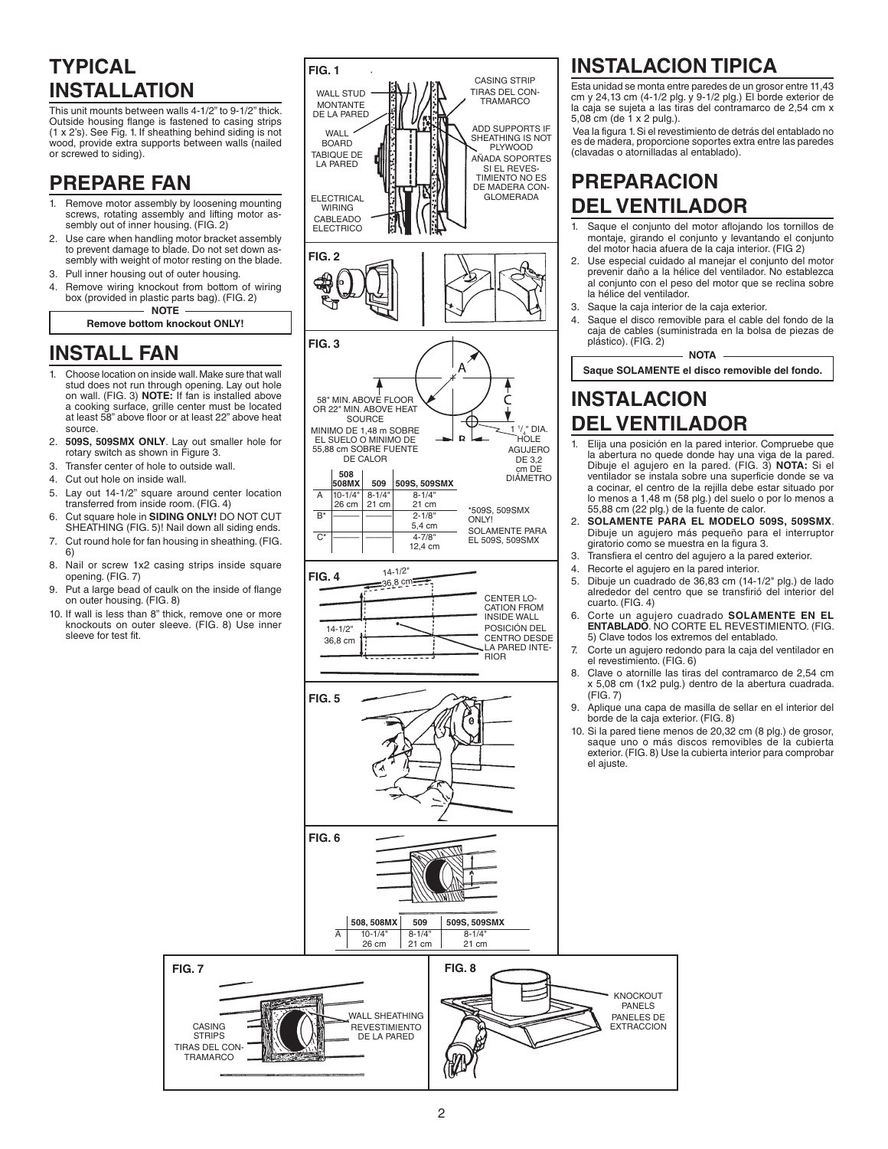# **TYPICAL INSTALLATION**

This unit mounts between walls 4-1/2" to 9-1/2" thick. Outside housing flange is fastened to casing strips (1 x 2's). See Fig. 1. If sheathing behind siding is not wood, provide extra supports between walls (nailed or screwed to siding).

### **PREPARE FAN**

- Remove motor assembly by loosening mounting screws, rotating assembly and lifting motor assembly out of inner housing. (FIG. 2)
- 2. Use care when handling motor bracket assembly to prevent damage to blade. Do not set down assembly with weight of motor resting on the blade.
- 3. Pull inner housing out of outer housing.
- Remove wiring knockout from bottom of wiring box (provided in plastic parts bag). (FIG. 2) **NOTE**

**Remove bottom knockout ONLY!**

# **INSTALL FAN**

- 1. Choose location on inside wall. Make sure that wall stud does not run through opening. Lay out hole on wall. (FIG. 3) **NOTE:** If fan is installed above a cooking surface, grille center must be located at least 58" above floor or at least 22" above heat source.
- 2. **509S, 509SMX ONLY**. Lay out smaller hole for rotary switch as shown in Figure 3.
- 3. Transfer center of hole to outside wall.
- 4. Cut out hole on inside wall.
- 5. Lay out 14-1/2" square around center location transferred from inside room. (FIG. 4)
- 6. Cut square hole in **SIDING ONLY!** DO NOT CUT SHEATHING (FIG. 5)! Nail down all siding ends.
- 7. Cut round hole for fan housing in sheathing. (FIG. 6)
- 8. Nail or screw 1x2 casing strips inside square opening. (FIG. 7)
- 9. Put a large bead of caulk on the inside of flange on outer housing. (FIG. 8)
- 10. If wall is less than 8" thick, remove one or more knockouts on outer sleeve. (FIG. 8) Use inner sleeve for test fit.

CASING **STRIPS** TIRAS DEL CON-TRAMARCO



# **INSTALACION TIPICA**

Esta unidad se monta entre paredes de un grosor entre 11,43 cm y 24,13 cm (4-1/2 plg. y 9-1/2 plg.) El borde exterior de la caja se sujetà a las tiras del contramarco de 2,54 cm x 5,08 cm (de 1 x 2 pulg.).

 Vea la figura 1. Si el revestimiento de detrás del entablado no es de madera, proporcione soportes extra entre las paredes (clavadas o atornilladas al entablado).

## **PREPARACION DEL VENTILADOR**

- 1. Saque el conjunto del motor aflojando los tornillos de montaje, girando el conjunto y levantando el conjunto del motor hacia afuera de la caja interior. (FIG 2)
- 2. Use especial cuidado al manejar el conjunto del motor prevenir daño a la hélice del ventilador. No establezca al conjunto con el peso del motor que se reclina sobre la hélice del ventilador.
- 3. Saque la caja interior de la caja exterior.
- 4. Saque el disco removible para el cable del fondo de la caja de cables (suministrada en la bolsa de piezas de plástico). (FIG. 2)

**NOTA Saque SOLAMENTE el disco removible del fondo.**

# **INSTALACION DEL VENTILADOR**

- 1. Elija una posición en la pared interior. Compruebe que la abertura no quede donde hay una viga de la pared. Dibuje el agujero en la pared. (FIG. 3) **NOTA:** Si el ventilador se instala sobre una superficie donde se va a cocinar, el centro de la rejilla debe estar situado por lo menos a 1,48 m (58 plg.) del suelo o por lo menos a 55,88 cm (22 plg.) de la fuente de calor.
- 2. **SOLAMENTE PARA EL MODELO 509S, 509SMX**. Dibuje un agujero más pequeño para el interruptor giratorio como se muestra en la figura 3.
- Transfiera el centro del agujero a la pared exterior.
- 4. Recorte el agujero en la pared interior.
- 5. Dibuje un cuadrado de 36,83 cm (14-1/2" plg.) de lado alrededor del centro que se transfirió del interior del cuarto. (FIG. 4)
- 6. Corte un agujero cuadrado **SOLAMENTE EN EL ENTABLADO**. NO CORTE EL REVESTIMIENTO. (FIG. 5) Clave todos los extremos del entablado.
- Corte un agujero redondo para la caja del ventilador en el revestimiento. (FIG. 6)
- 8. Clave o atornille las tiras del contramarco de 2,54 cm x 5,08 cm (1x2 pulg.) dentro de la abertura cuadrada. (FIG. 7)
- 9. Aplique una capa de masilla de sellar en el interior del borde de la caja exterior. (FIG. 8)
- 10. Si la pared tiene menos de 20,32 cm (8 plg.) de grosor, saque uno o más discos removibles de la cubierta exterior. (FIG. 8) Use la cubierta interior para comprobar el ajuste.

KNOCKOUT PANELS PANELES DE EXTRACCION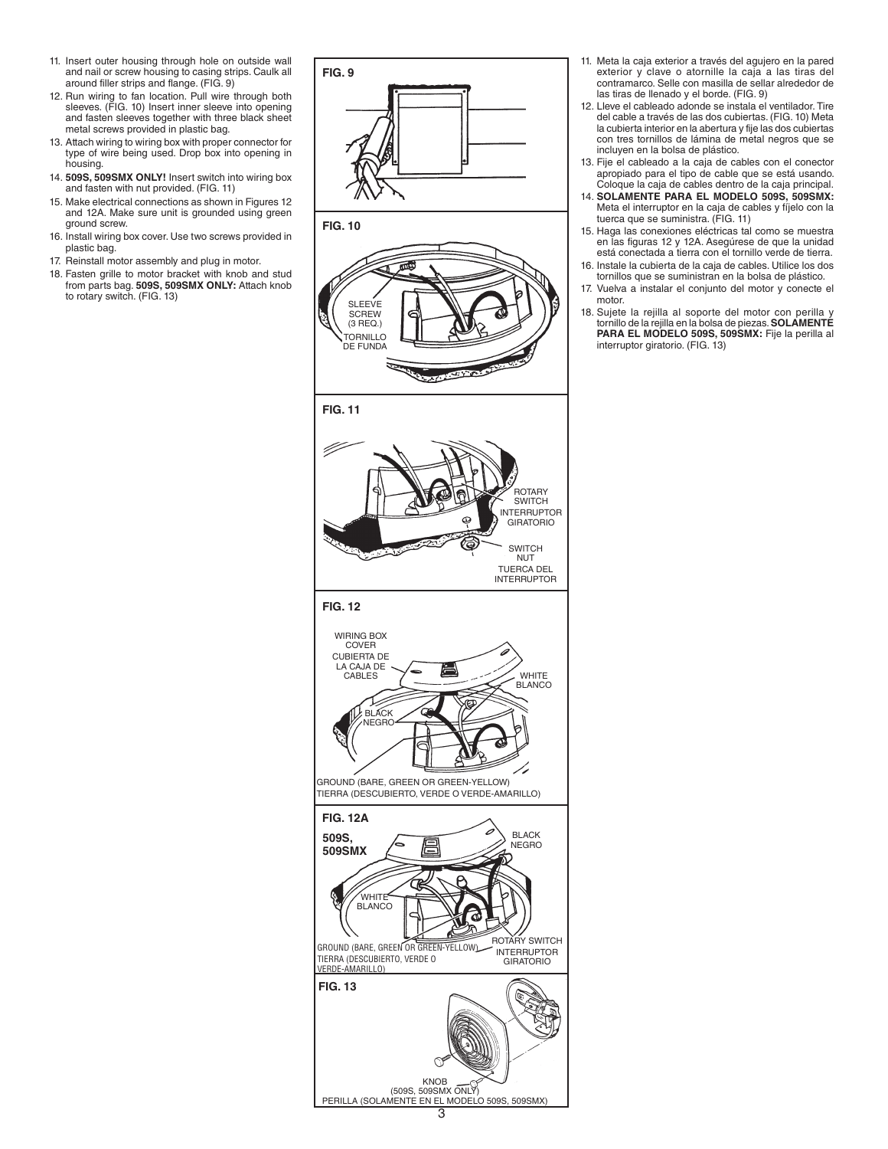- 11. Insert outer housing through hole on outside wall and nail or screw housing to casing strips. Caulk all around filler strips and flange. (FIG. 9)
- 12. Run wiring to fan location. Pull wire through both sleeves. (FIG. 10) Insert inner sleeve into opening and fasten sleeves together with three black sheet metal screws provided in plastic bag.
- 13. Attach wiring to wiring box with proper connector for type of wire being used. Drop box into opening in housing.
- 14. **509S, 509SMX ONLY!** Insert switch into wiring box and fasten with nut provided. (FIG. 11)
- 15. Make electrical connections as shown in Figures 12 and 12A. Make sure unit is grounded using green ground screw.
- 16. Install wiring box cover. Use two screws provided in plastic bag.
- 17. Reinstall motor assembly and plug in motor.
- 18. Fasten grille to motor bracket with knob and stud from parts bag. **509S, 509SMX ONLY:** Attach knob to rotary switch. (FIG. 13)



3

KNOB (509S, 509SMX ONLY) PERILLA (SOLAMENTE EN EL MODELO 509S, 509SMX)

- 11. Meta la caja exterior a través del agujero en la pared exterior y clave o atornille la caja a las tiras del contramarco. Selle con masilla de sellar alrededor de las tiras de llenado y el borde. (FIG. 9)
- 12. Lleve el cableado adonde se instala el ventilador. Tire del cable a través de las dos cubiertas. (FIG. 10) Meta la cubierta interior en la abertura y fije las dos cubiertas con tres tornillos de lámina de metal negros que se incluyen en la bolsa de plástico.
- 13. Fije el cableado a la caja de cables con el conector apropiado para el tipo de cable que se está usando. Coloque la caja de cables dentro de la caja principal.
- 14. **SOLAMENTE PARA EL MODELO 509S, 509SMX:**  Meta el interruptor en la caja de cables y fíjelo con la tuerca que se suministra. (FIG. 11)
- 15. Haga las conexiones eléctricas tal como se muestra en las figuras 12 y 12A. Asegúrese de que la unidad está conectada a tierra con el tornillo verde de tierra.
- 16. Instale la cubierta de la caja de cables. Utilice los dos tornillos que se suministran en la bolsa de plástico.
- 17. Vuelva a instalar el conjunto del motor y conecte el motor.
- 18. Sujete la rejilla al soporte del motor con perilla y tornillo de la rejilla en la bolsa de piezas. **SOLAMENTE PARA EL MODELO 509S, 509SMX:** Fije la perilla al interruptor giratorio. (FIG. 13)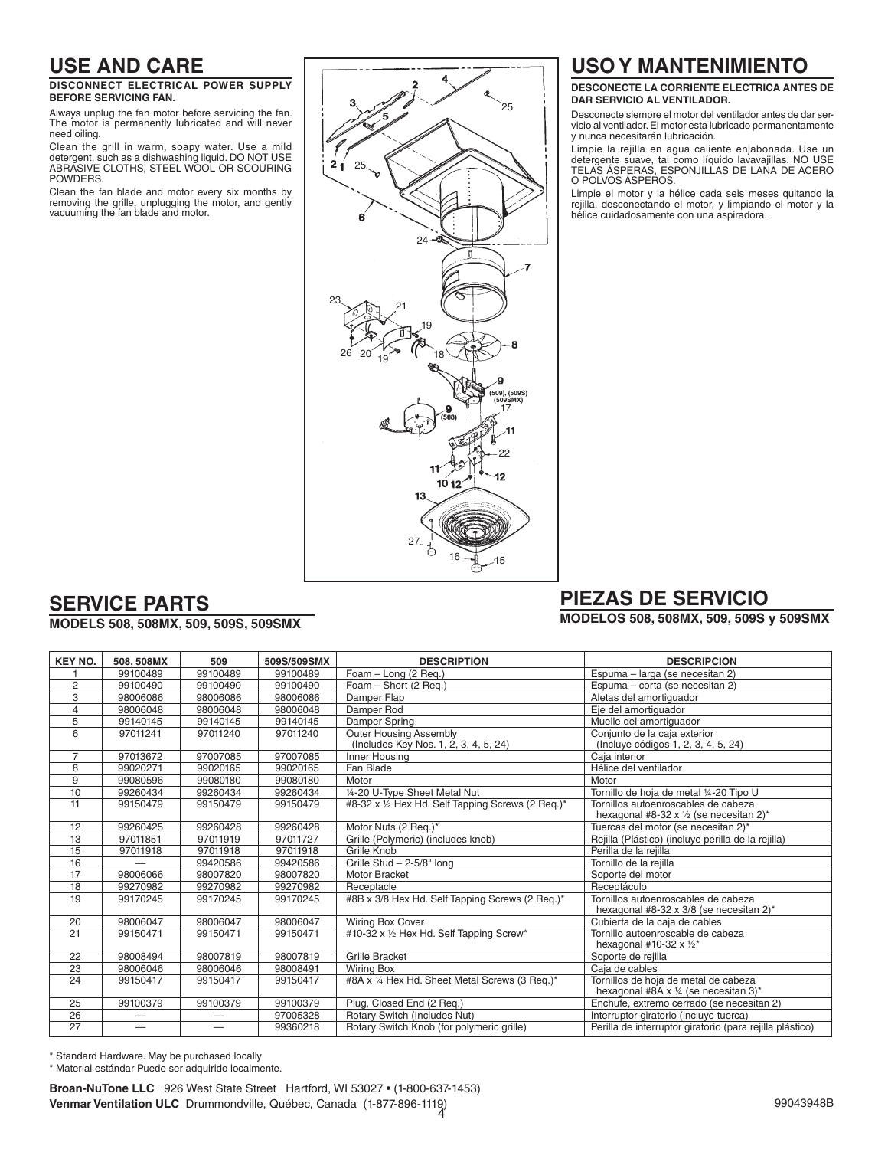### **USE AND CARE**

#### **DISCONNECT ELECTRICAL POWER SUPPLY BEFORE SERVICING FAN.**

Always unplug the fan motor before servicing the fan. The motor is permanently lubricated and will never need oiling.

Clean the grill in warm, soapy water. Use a mild detergent, such as a dishwashing liquid. DO NOT USE ABRASIVE CLOTHS, STEEL WOOL OR SCOURING POWDERS.

Clean the fan blade and motor every six months by removing the grille, unplugging the motor, and gently vacuuming the fan blade and motor.



## **USO Y MANTENIMIENTO**

#### **DESCONECTE LA CORRIENTE ELECTRICA ANTES DE DAR SERVICIO AL VENTILADOR.**

Desconecte siempre el motor del ventilador antes de dar servicio al ventilador. El motor esta lubricado permanentamente y nunca necesitarán lubricación.

Limpie la rejilla en agua caliente enjabonada. Use un detergente suave, tal como líquido lavavajillas. NO USE TELAS ÁSPERAS, ESPONJILLAS DE LANA DE ACERO O POLVOS ÁSPEROS.

Limpie el motor y la hélice cada seis meses quitando la rejilla, desconectando el motor, y limpiando el motor y la hélice cuidadosamente con una aspiradora.

## **SERVICE PARTS**

#### **MODELS 508, 508MX, 509, 509S, 509SMX**

# **PIEZAS DE SERVICIO**

**MODELOS 508, 508MX, 509, 509S y 509SMX**

| <b>KEY NO.</b> | 508, 508MX | 509                      | 509S/509SMX | <b>DESCRIPTION</b>                                                     | <b>DESCRIPCION</b>                                                             |
|----------------|------------|--------------------------|-------------|------------------------------------------------------------------------|--------------------------------------------------------------------------------|
|                | 99100489   | 99100489                 | 99100489    | Foam - Long (2 Req.)                                                   | Espuma - larga (se necesitan 2)                                                |
| 2              | 99100490   | 99100490                 | 99100490    | Foam - Short (2 Req.)                                                  | Espuma - corta (se necesitan 2)                                                |
| 3              | 98006086   | 98006086                 | 98006086    | Damper Flap                                                            | Aletas del amortiguador                                                        |
| $\overline{4}$ | 98006048   | 98006048                 | 98006048    | Damper Rod                                                             | Eje del amortiquador                                                           |
| 5              | 99140145   | 99140145                 | 99140145    | Damper Spring                                                          | Muelle del amortiguador                                                        |
| 6              | 97011241   | 97011240                 | 97011240    | <b>Outer Housing Assembly</b><br>(Includes Key Nos. 1, 2, 3, 4, 5, 24) | Conjunto de la caja exterior<br>(Incluye códigos 1, 2, 3, 4, 5, 24)            |
| 7              | 97013672   | 97007085                 | 97007085    | Inner Housing                                                          | Caja interior                                                                  |
| 8              | 99020271   | 99020165                 | 99020165    | Fan Blade                                                              | Hélice del ventilador                                                          |
| 9              | 99080596   | 99080180                 | 99080180    | Motor                                                                  | Motor                                                                          |
| 10             | 99260434   | 99260434                 | 99260434    | 1/4-20 U-Type Sheet Metal Nut                                          | Tornillo de hoja de metal 1/4-20 Tipo U                                        |
| 11             | 99150479   | 99150479                 | 99150479    | #8-32 x 1/2 Hex Hd. Self Tapping Screws (2 Reg.)*                      | Tornillos autoenroscables de cabeza<br>hexagonal #8-32 x 1/2 (se necesitan 2)* |
| 12             | 99260425   | 99260428                 | 99260428    | Motor Nuts (2 Req.)*                                                   | Tuercas del motor (se necesitan 2)*                                            |
| 13             | 97011851   | 97011919                 | 97011727    | Grille (Polymeric) (includes knob)                                     | Rejilla (Plástico) (incluye perilla de la rejilla)                             |
| 15             | 97011918   | 97011918                 | 97011918    | Grille Knob                                                            | Perilla de la reiilla                                                          |
| 16             |            | 99420586                 | 99420586    | Grille Stud - 2-5/8" long                                              | Tornillo de la rejilla                                                         |
| 17             | 98006066   | 98007820                 | 98007820    | <b>Motor Bracket</b>                                                   | Soporte del motor                                                              |
| 18             | 99270982   | 99270982                 | 99270982    | Receptacle                                                             | Receptáculo                                                                    |
| 19             | 99170245   | 99170245                 | 99170245    | #8B x 3/8 Hex Hd. Self Tapping Screws (2 Req.)*                        | Tornillos autoenroscables de cabeza<br>hexagonal #8-32 x 3/8 (se necesitan 2)* |
| 20             | 98006047   | 98006047                 | 98006047    | Wiring Box Cover                                                       | Cubierta de la caja de cables                                                  |
| 21             | 99150471   | 99150471                 | 99150471    | #10-32 x 1/2 Hex Hd. Self Tapping Screw*                               | Tornillo autoenroscable de cabeza<br>hexagonal #10-32 $x$ 1/2*                 |
| 22             | 98008494   | 98007819                 | 98007819    | <b>Grille Bracket</b>                                                  | Soporte de rejilla                                                             |
| 23             | 98006046   | 98006046                 | 98008491    | <b>Wiring Box</b>                                                      | Caja de cables                                                                 |
| 24             | 99150417   | 99150417                 | 99150417    | #8A x 1/4 Hex Hd. Sheet Metal Screws (3 Req.)*                         | Tornillos de hoja de metal de cabeza<br>hexagonal #8A x 1/4 (se necesitan 3)*  |
| 25             | 99100379   | 99100379                 | 99100379    | Plug, Closed End (2 Req.)                                              | Enchufe, extremo cerrado (se necesitan 2)                                      |
| 26             |            |                          | 97005328    | Rotary Switch (Includes Nut)                                           | Interruptor giratorio (incluye tuerca)                                         |
| 27             |            | $\overline{\phantom{0}}$ | 99360218    | Rotary Switch Knob (for polymeric grille)                              | Perilla de interruptor giratorio (para rejilla plástico)                       |

\* Standard Hardware. May be purchased locally

\* Material estándar Puede ser adquirido localmente.

4 **Venmar Ventilation ULC** Drummondville, Québec, Canada (1-877-896-1119)**Broan-NuTone LLC** 926 West State Street Hartford, WI 53027 • (1-800-637-1453)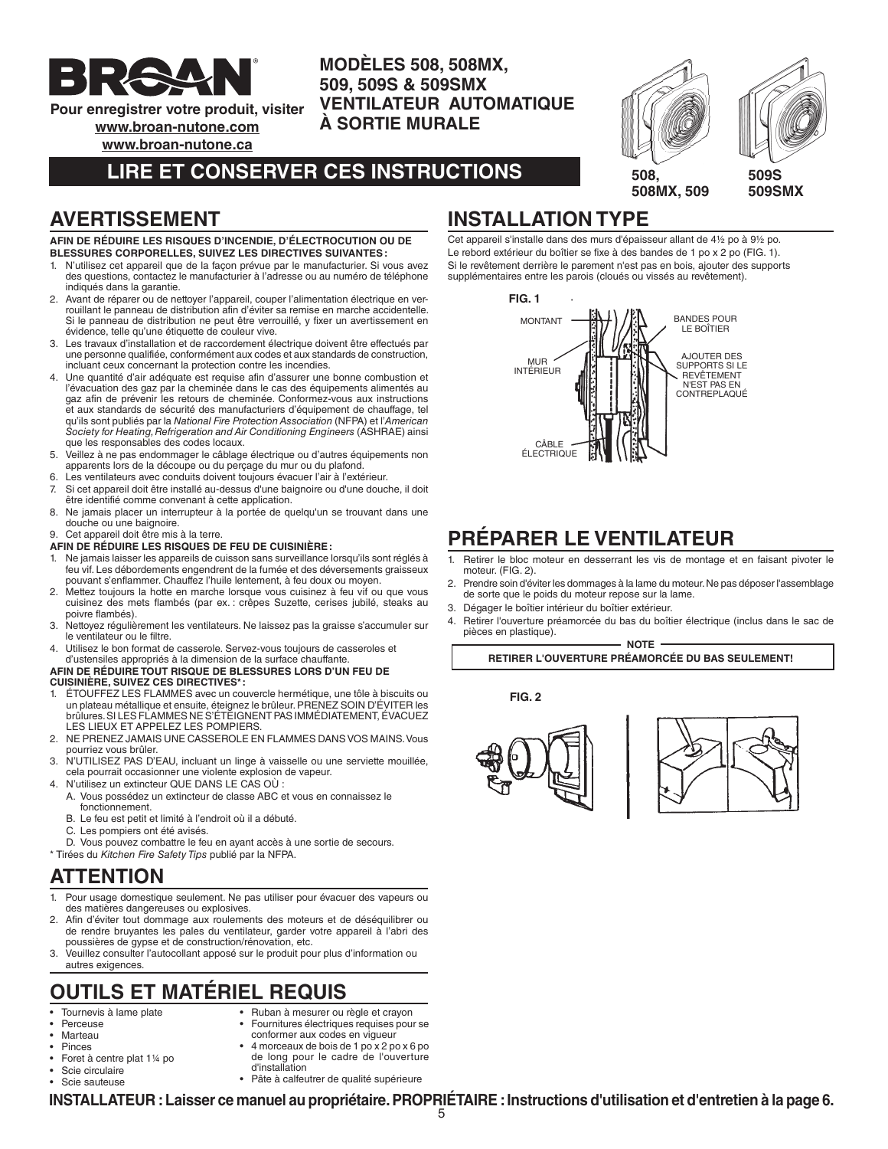

**Pour enregistrer votre produit, visiter**

**www.broan-nutone.com**

**www.broan-nutone.ca**

## **LIRE ET CONSERVER CES INSTRUCTIONS**

**MODÈLES 508, 508MX, 509, 509S & 509SMX** 

**À SORTIE MURALE**

**VENTILATEUR AUTOMATIQUE**



### **AVERTISSEMENT**

#### **AFIN DE RÉDUIRE LES RISQUES D'INCENDIE, D'ÉLECTROCUTION OU DE BLESSURES CORPORELLES, SUIVEZ LES DIRECTIVES SUIVANTES :**

- 1. N'utilisez cet appareil que de la façon prévue par le manufacturier. Si vous avez des questions, contactez le manufacturier à l'adresse ou au numéro de téléphone indiqués dans la garantie.
- 2. Avant de réparer ou de nettoyer l'appareil, couper l'alimentation électrique en verrouillant le panneau de distribution afin d'éviter sa remise en marche accidentelle. Si le panneau de distribution ne peut être verrouillé, y fixer un avertissement en évidence, telle qu'une étiquette de couleur vive.
- 3. Les travaux d'installation et de raccordement électrique doivent être effectués par une personne qualifiée, conformément aux codes et aux standards de construction, incluant ceux concernant la protection contre les incendies.
- 4. Une quantité d'air adéquate est requise afin d'assurer une bonne combustion et l'évacuation des gaz par la cheminée dans le cas des équipements alimentés au gaz afin de prévenir les retours de cheminée. Conformez-vous aux instructions et aux standards de sécurité des manufacturiers d'équipement de chauffage, tel qu'ils sont publiés par la National Fire Protection Association (NFPA) et l'American Society for Heating, Refrigeration and Air Conditioning Engineers (ASHRAE) ainsi que les responsables des codes locaux.
- 5. Veillez à ne pas endommager le câblage électrique ou d'autres équipements non apparents lors de la découpe ou du perçage du mur ou du plafond.
- 6. Les ventilateurs avec conduits doivent toujours évacuer l'air à l'extérieur.
- 7. Si cet appareil doit être installé au-dessus d'une baignoire ou d'une douche, il doit être identifié comme convenant à cette application.
- 8. Ne jamais placer un interrupteur à la portée de quelqu'un se trouvant dans une douche ou une baignoire.
- 9. Cet appareil doit être mis à la terre.
- **AFIN DE RÉDUIRE LES RISQUES DE FEU DE CUISINIÈRE :**
- 1. Ne jamais laisser les appareils de cuisson sans surveillance lorsqu'ils sont réglés à feu vif. Les débordements engendrent de la fumée et des déversements graisseux pouvant s'enflammer. Chauffez l'huile lentement, à feu doux ou moyen.
- 2. Mettez toujours la hotte en marche lorsque vous cuisinez à feu vif ou que vous cuisinez des mets flambés (par ex. : crêpes Suzette, cerises jubilé, steaks au poivre flambés).
- 3. Nettoyez régulièrement les ventilateurs. Ne laissez pas la graisse s'accumuler sur le ventilateur ou le filtre.
- 4. Utilisez le bon format de casserole. Servez-vous toujours de casseroles et d'ustensiles appropriés à la dimension de la surface chauffante.
- **AFIN DE RÉDUIRE TOUT RISQUE DE BLESSURES LORS D'UN FEU DE CUISINIÈRE, SUIVEZ CES DIRECTIVES\* :**
- 1. ÉTOUFFEZ LES FLAMMES avec un couvercle hermétique, une tôle à biscuits ou un plateau métallique et ensuite, éteignez le brûleur. PRENEZ SOIN D'ÉVITER les brûlures. SI LES FLAMMES NE S'ÉTEIGNENT PAS IMMÉDIATEMENT, ÉVACUEZ LES LIEUX ET APPELEZ LES POMPIERS.
- 2. NE PRENEZ JAMAIS UNE CASSEROLE EN FLAMMES DANS VOS MAINS. Vous pourriez vous brûler.
- 3. N'UTILISEZ PAS D'EAU, incluant un linge à vaisselle ou une serviette mouillée, cela pourrait occasionner une violente explosion de vapeur.
- 4. N'utilisez un extincteur QUE DANS LE CAS OÙ :
- A. Vous possédez un extincteur de classe ABC et vous en connaissez le fonctionnement.
- B. Le feu est petit et limité à l'endroit où il a débuté.
- C. Les pompiers ont été avisés.

D. Vous pouvez combattre le feu en ayant accès à une sortie de secours.

\* Tirées du Kitchen Fire Safety Tips publié par la NFPA.

### **ATTENTION**

- 1. Pour usage domestique seulement. Ne pas utiliser pour évacuer des vapeurs ou des matières dangereuses ou explosives.
- 2. Afin d'éviter tout dommage aux roulements des moteurs et de déséquilibrer ou de rendre bruyantes les pales du ventilateur, garder votre appareil à l'abri des poussières de gypse et de construction/rénovation, etc.
- 3. Veuillez consulter l'autocollant apposé sur le produit pour plus d'information ou autres exigences.

# **OUTILS ET MATÉRIEL REQUIS**

- Tournevis à lame plate
- **Perceuse**
- Marteau
- Ruban à mesurer ou règle et crayon
- Fournitures électriques requises pour se conformer aux codes en vigueur • 4 morceaux de bois de 1 po x 2 po x 6 po
- Pinces
- Foret à centre plat 1¼ po
- Scie circulaire
- Scie sauteuse
- de long pour le cadre de l'ouverture d'installation • Pâte à calfeutrer de qualité supérieure
- 

**INSTALLATION TYPE** Cet appareil s'installe dans des murs d'épaisseur allant de 4½ po à 9½ po.

Le rebord extérieur du boîtier se fixe à des bandes de 1 po x 2 po (FIG. 1). Si le revêtement derrière le parement n'est pas en bois, ajouter des supports supplémentaires entre les parois (cloués ou vissés au revêtement).



### **PRÉPARER LE VENTILATEUR**

- 1. Retirer le bloc moteur en desserrant les vis de montage et en faisant pivoter le moteur. (FIG. 2).
- 2. Prendre soin d'éviter les dommages à la lame du moteur. Ne pas déposer l'assemblage de sorte que le poids du moteur repose sur la lame.
- 3. Dégager le boîtier intérieur du boîtier extérieur.
- 4. Retirer l'ouverture préamorcée du bas du boîtier électrique (inclus dans le sac de pièces en plastique).

**NOTE**

**RETIRER L'OUVERTURE PRÉAMORCÉE DU BAS SEULEMENT!**

**FIG. 2**





**INSTALLATEUR : Laisser ce manuel au propriétaire. PROPRIÉTAIRE : Instructions d'utilisation et d'entretien à la page 6.**

5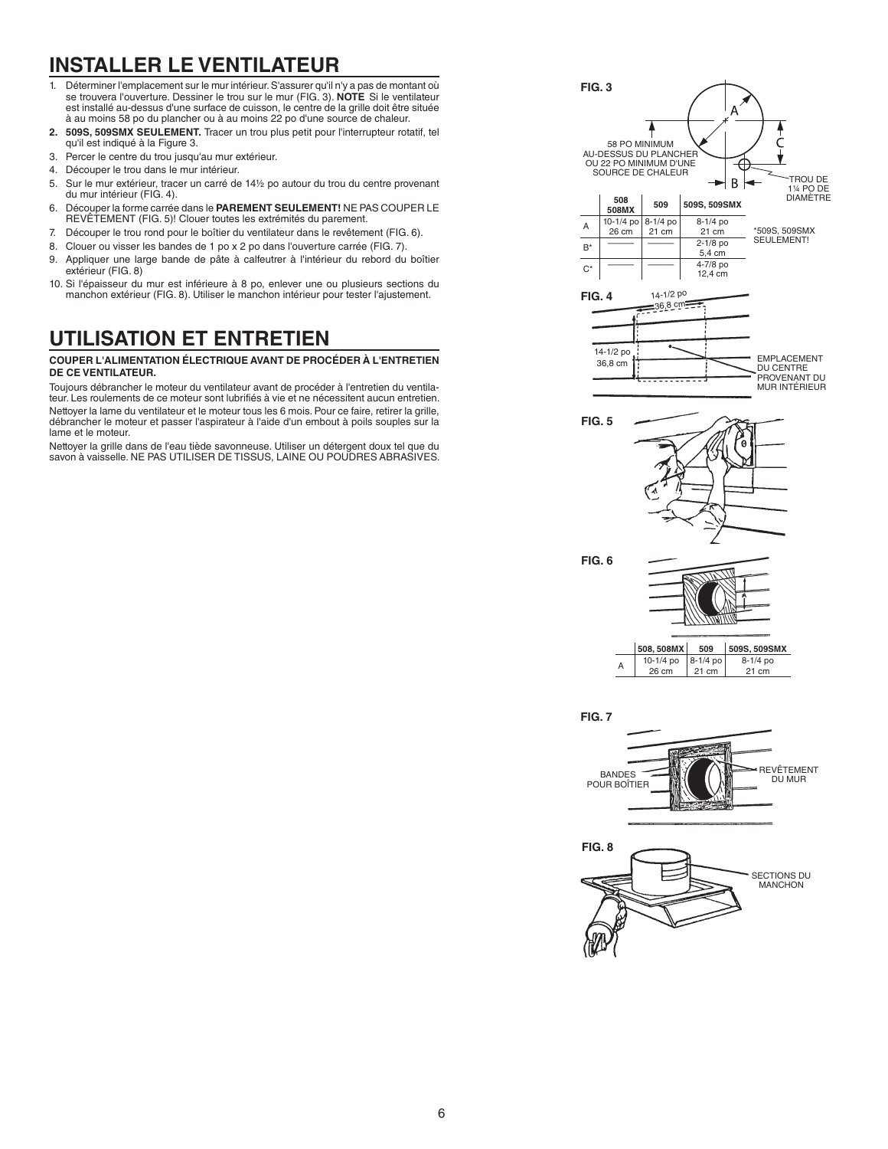# **INSTALLER LE VENTILATEUR**

- 1. Déterminer l'emplacement sur le mur intérieur. S'assurer qu'il n'y a pas de montant où se trouvera l'ouverture. Dessiner le trou sur le mur (FIG. 3). **NOTE** Si le ventilateur est installé au-dessus d'une surface de cuisson, le centre de la grille doit être située à au moins 58 po du plancher ou à au moins 22 po d'une source de chaleur.
- **2. 509S, 509SMX SEULEMENT.** Tracer un trou plus petit pour l'interrupteur rotatif, tel qu'il est indiqué à la Figure 3.
- 3. Percer le centre du trou jusqu'au mur extérieur.
- 4. Découper le trou dans le mur intérieur.
- 5. Sur le mur extérieur, tracer un carré de 14½ po autour du trou du centre provenant du mur intérieur (FIG. 4).
- 6. Découper la forme carrée dans le **PAREMENT SEULEMENT!** NE PAS COUPER LE REVÊTEMENT (FIG. 5)! Clouer toutes les extrémités du parement.
- 7. Découper le trou rond pour le boîtier du ventilateur dans le revêtement (FIG. 6).
- 8. Clouer ou visser les bandes de 1 po x 2 po dans l'ouverture carrée (FIG. 7).
- 9. Appliquer une large bande de pâte à calfeutrer à l'intérieur du rebord du boîtier extérieur (FIG. 8)
- 10. Si l'épaisseur du mur est inférieure à 8 po, enlever une ou plusieurs sections du manchon extérieur (FIG. 8). Utiliser le manchon intérieur pour tester l'ajustement.

## **UTILISATION ET ENTRETIEN**

#### **COUPER L'ALIMENTATION ÉLECTRIQUE AVANT DE PROCÉDER À L'ENTRETIEN DE CE VENTILATEUR.**

Toujours débrancher le moteur du ventilateur avant de procéder à l'entretien du ventilateur. Les roulements de ce moteur sont lubrifiés à vie et ne nécessitent aucun entretien. Nettoyer la lame du ventilateur et le moteur tous les 6 mois. Pour ce faire, retirer la grille, débrancher le moteur et passer l'aspirateur à l'aide d'un embout à poils souples sur la lame et le moteur.

Nettoyer la grille dans de l'eau tiède savonneuse. Utiliser un détergent doux tel que du savon à vaisselle. NE PAS UTILISER DE TISSUS, LAINE OU POUDRES ABRASIVES.





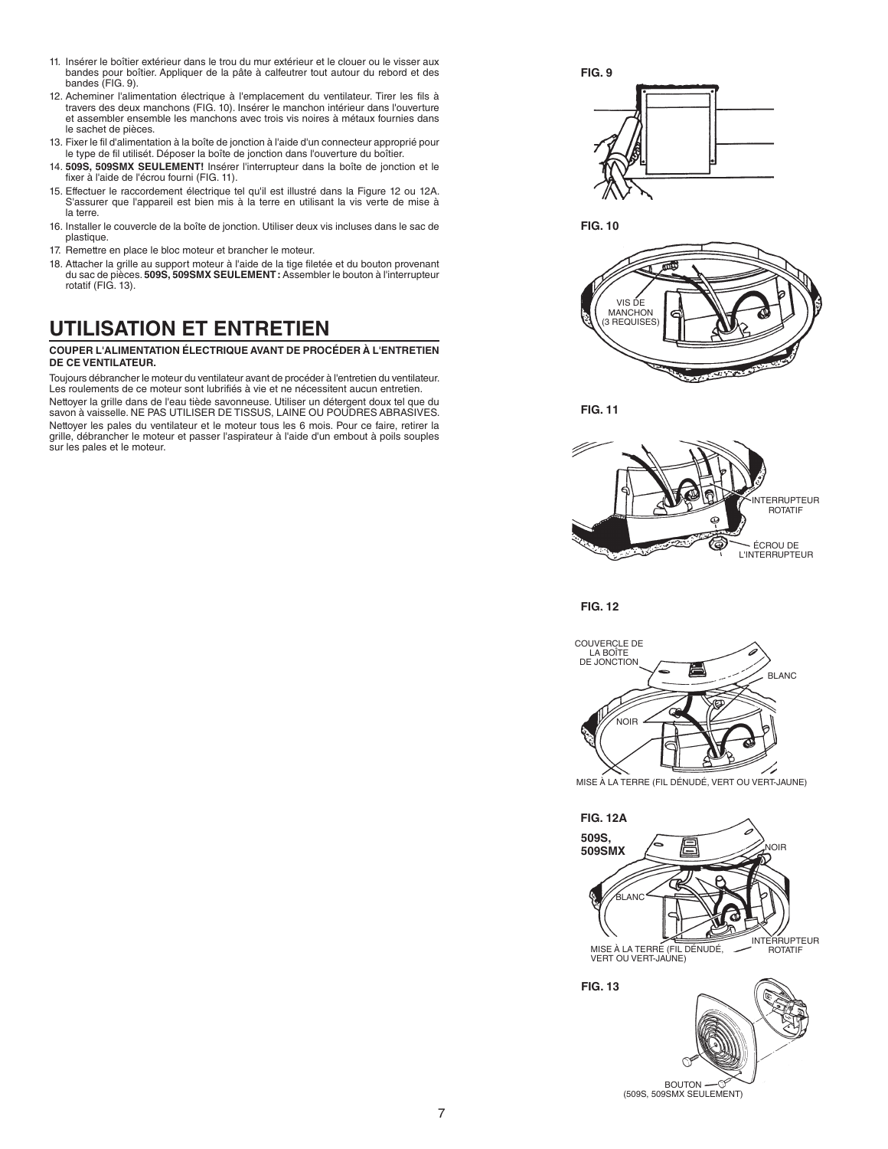- 11. Insérer le boîtier extérieur dans le trou du mur extérieur et le clouer ou le visser aux bandes pour boîtier. Appliquer de la pâte à calfeutrer tout autour du rebord et des bandes (FIG. 9).
- 12. Acheminer l'alimentation électrique à l'emplacement du ventilateur. Tirer les fils à travers des deux manchons (FIG. 10). Insérer le manchon intérieur dans l'ouverture et assembler ensemble les manchons avec trois vis noires à métaux fournies dans le sachet de pièces.
- 13. Fixer le fil d'alimentation à la boîte de jonction à l'aide d'un connecteur approprié pour le type de fil utilisét. Déposer la boîte de jonction dans l'ouverture du boîtier.
- 14. **509S, 509SMX SEULEMENT!** Insérer l'interrupteur dans la boîte de jonction et le fixer à l'aide de l'écrou fourni (FIG. 11).
- 15. Effectuer le raccordement électrique tel qu'il est illustré dans la Figure 12 ou 12A. S'assurer que l'appareil est bien mis à la terre en utilisant la vis verte de mise à la terre.
- 16. Installer le couvercle de la boîte de jonction. Utiliser deux vis incluses dans le sac de plastique.
- 17. Remettre en place le bloc moteur et brancher le moteur.
- 18. Attacher la grille au support moteur à l'aide de la tige filetée et du bouton provenant du sac de pièces. **509S, 509SMX SEULEMENT :** Assembler le bouton à l'interrupteur rotatif (FIG. 13).

## **UTILISATION ET ENTRETIEN**

#### **COUPER L'ALIMENTATION ÉLECTRIQUE AVANT DE PROCÉDER À L'ENTRETIEN DE CE VENTILATEUR.**

Toujours débrancher le moteur du ventilateur avant de procéder à l'entretien du ventilateur. Les roulements de ce moteur sont lubrifiés à vie et ne nécessitent aucun entretien. Nettoyer la grille dans de l'eau tiède savonneuse. Utiliser un détergent doux tel que du savon à vaisselle. NE PAS UTILISER DE TISSUS, LAINE OU POUDRES ABRASIVES. Nettoyer les pales du ventilateur et le moteur tous les 6 mois. Pour ce faire, retirer la grille, débrancher le moteur et passer l'aspirateur à l'aide d'un embout à poils souples sur les pales et le moteur.



**FIG. 10**



**FIG. 11**



**FIG. 12**



MISE À LA TERRE (FIL DÉNUDÉ, VERT OU VERT-JAUNE)



BOUTON — ①<br>(509S, 509SMX SEULEMENT)